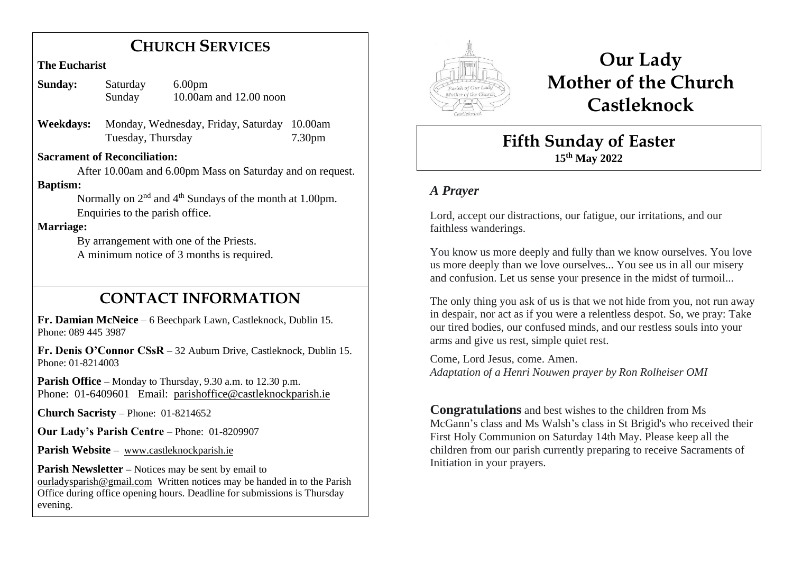# **CHURCH SERVICES**

#### **The Eucharist**

| <b>Sunday:</b> | Saturday | 6.00 <sub>pm</sub>     |
|----------------|----------|------------------------|
|                | Sunday   | 10.00am and 12.00 noon |

**Weekdays:** Monday, Wednesday, Friday, Saturday 10.00am Tuesday, Thursday 7.30pm

#### **Sacrament of Reconciliation:**

 After 10.00am and 6.00pm Mass on Saturday and on request. **Baptism:**

Normally on  $2<sup>nd</sup>$  and  $4<sup>th</sup>$  Sundays of the month at 1.00pm. Enquiries to the parish office.

#### **Marriage:**

 By arrangement with one of the Priests. A minimum notice of 3 months is required.

# **CONTACT INFORMATION**

**Fr. Damian McNeice** – 6 Beechpark Lawn, Castleknock, Dublin 15. Phone: 089 445 3987

**Fr. Denis O'Connor CSsR** – 32 Auburn Drive, Castleknock, Dublin 15. Phone: 01-8214003

**Parish Office** – Monday to Thursday, 9.30 a.m. to 12.30 p.m. Phone: 01-6409601 Email: parishoffice@castleknockparish.ie

**Church Sacristy** – Phone: 01-8214652

**Our Lady's Parish Centre** – Phone: 01-8209907

Parish Website - www.castleknockparish.ie

**Parish Newsletter –** Notices may be sent by email to ourladysparish@gmail.com Written notices may be handed in to the Parish Office during office opening hours. Deadline for submissions is Thursday evening.



# **Our Lady Mother of the Church Castleknock**

# **Fifth Sunday of Easter 15th May 2022**

# *A Prayer*

Lord, accept our distractions, our fatigue, our irritations, and our faithless wanderings.

You know us more deeply and fully than we know ourselves. You love us more deeply than we love ourselves... You see us in all our misery and confusion. Let us sense your presence in the midst of turmoil...

The only thing you ask of us is that we not hide from you, not run away in despair, nor act as if you were a relentless despot. So, we pray: Take our tired bodies, our confused minds, and our restless souls into your arms and give us rest, simple quiet rest.

Come, Lord Jesus, come. Amen. *Adaptation of a Henri Nouwen prayer by Ron Rolheiser OMI*

**Congratulations** and best wishes to the children from Ms McGann's class and Ms Walsh's class in St Brigid's who received their First Holy Communion on Saturday 14th May. Please keep all the children from our parish currently preparing to receive Sacraments of Initiation in your prayers.